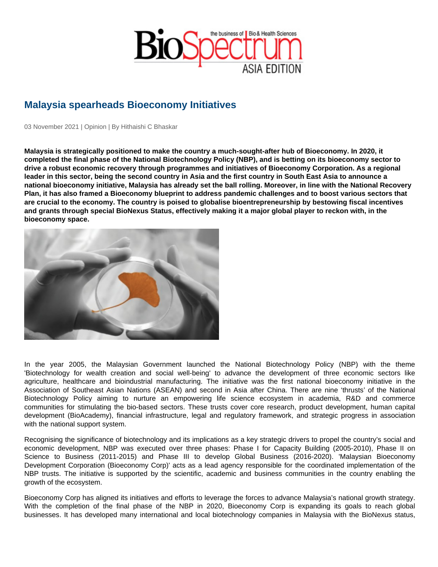## Malaysia spearheads Bioeconomy Initiatives

03 November 2021 | Opinion | By Hithaishi C Bhaskar

Malaysia is strategically positioned to make the country a much-sought-after hub of Bioeconomy. In 2020, it completed the final phase of the National Biotechnology Policy (NBP), and is betting on its bioeconomy sector to drive a robust economic recovery through programmes and initiatives of Bioeconomy Corporation. As a regional leader in this sector, being the second country in Asia and the first country in South East Asia to announce a national bioeconomy initiative, Malaysia has already set the ball rolling. Moreover, in line with the National Recovery Plan, it has also framed a Bioeconomy blueprint to address pandemic challenges and to boost various sectors that are crucial to the economy. The country is poised to globalise bioentrepreneurship by bestowing fiscal incentives and grants through special BioNexus Status, effectively making it a major global player to reckon with, in the bioeconomy space.

In the year 2005, the Malaysian Government launched the National Biotechnology Policy (NBP) with the theme 'Biotechnology for wealth creation and social well-being' to advance the development of three economic sectors like agriculture, healthcare and bioindustrial manufacturing. The initiative was the first national bioeconomy initiative in the Association of Southeast Asian Nations (ASEAN) and second in Asia after China. There are nine 'thrusts' of the National Biotechnology Policy aiming to nurture an empowering life science ecosystem in academia, R&D and commerce communities for stimulating the bio-based sectors. These trusts cover core research, product development, human capital development (BioAcademy), financial infrastructure, legal and regulatory framework, and strategic progress in association with the national support system.

Recognising the significance of biotechnology and its implications as a key strategic drivers to propel the country's social and economic development, NBP was executed over three phases: Phase I for Capacity Building (2005-2010), Phase II on Science to Business (2011-2015) and Phase III to develop Global Business (2016-2020). 'Malaysian Bioeconomy Development Corporation (Bioeconomy Corp)' acts as a lead agency responsible for the coordinated implementation of the NBP trusts. The initiative is supported by the scientific, academic and business communities in the country enabling the growth of the ecosystem.

Bioeconomy Corp has aligned its initiatives and efforts to leverage the forces to advance Malaysia's national growth strategy. With the completion of the final phase of the NBP in 2020, Bioeconomy Corp is expanding its goals to reach global businesses. It has developed many international and local biotechnology companies in Malaysia with the BioNexus status,